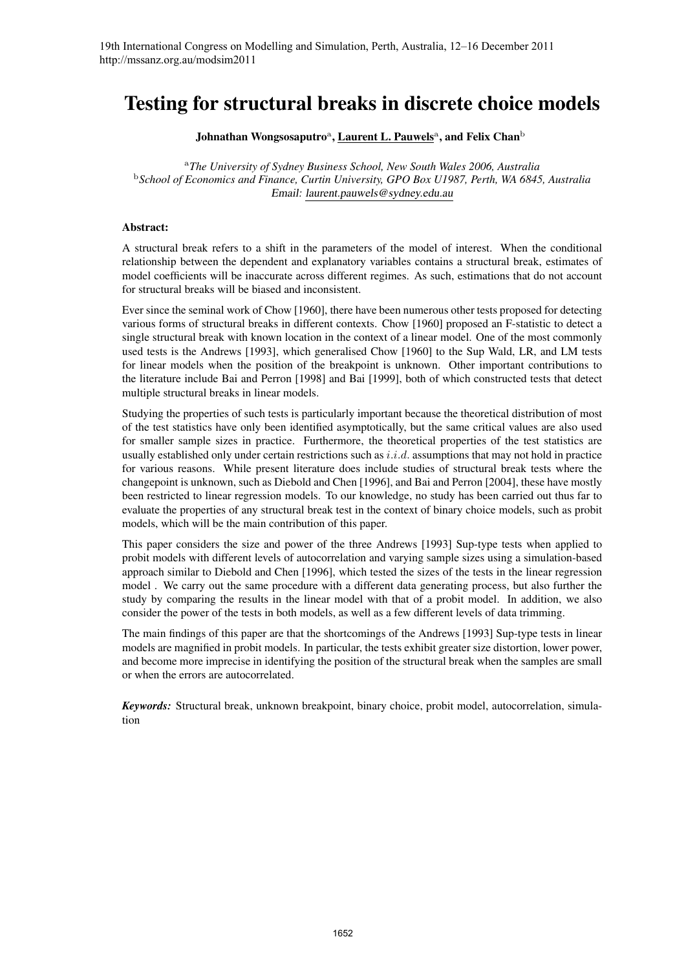# Testing for structural breaks in discrete choice models

Johnathan Wongsosaputro<sup>a</sup>, <u>Laurent L. Pauwels</u><sup>a</sup>, and Felix Chan<sup>b</sup>

<sup>a</sup>*The University of Sydney Business School, New South Wales 2006, Australia* <sup>b</sup>*School of Economics and Finance, Curtin University, GPO Box U1987, Perth, WA 6845, Australia* Email: laurent.pauwels@sydney.edu.au

# Abstract:

A structural break refers to a shift in the parameters of the model of interest. When the conditional relationship between the dependent and explanatory variables contains a structural break, estimates of model coefficients will be inaccurate across different regimes. As such, estimations that do not account for structural breaks will be biased and inconsistent.

Ever since the seminal work of Chow [1960], there have been numerous other tests proposed for detecting various forms of structural breaks in different contexts. Chow [1960] proposed an F-statistic to detect a single structural break with known location in the context of a linear model. One of the most commonly used tests is the Andrews [1993], which generalised Chow [1960] to the Sup Wald, LR, and LM tests for linear models when the position of the breakpoint is unknown. Other important contributions to the literature include Bai and Perron [1998] and Bai [1999], both of which constructed tests that detect multiple structural breaks in linear models.

Studying the properties of such tests is particularly important because the theoretical distribution of most of the test statistics have only been identified asymptotically, but the same critical values are also used for smaller sample sizes in practice. Furthermore, the theoretical properties of the test statistics are usually established only under certain restrictions such as  $i.i.d.$  assumptions that may not hold in practice for various reasons. While present literature does include studies of structural break tests where the changepoint is unknown, such as Diebold and Chen [1996], and Bai and Perron [2004], these have mostly been restricted to linear regression models. To our knowledge, no study has been carried out thus far to evaluate the properties of any structural break test in the context of binary choice models, such as probit models, which will be the main contribution of this paper.

This paper considers the size and power of the three Andrews [1993] Sup-type tests when applied to probit models with different levels of autocorrelation and varying sample sizes using a simulation-based approach similar to Diebold and Chen [1996], which tested the sizes of the tests in the linear regression model . We carry out the same procedure with a different data generating process, but also further the study by comparing the results in the linear model with that of a probit model. In addition, we also consider the power of the tests in both models, as well as a few different levels of data trimming.

The main findings of this paper are that the shortcomings of the Andrews [1993] Sup-type tests in linear models are magnified in probit models. In particular, the tests exhibit greater size distortion, lower power, and become more imprecise in identifying the position of the structural break when the samples are small or when the errors are autocorrelated.

*Keywords:* Structural break, unknown breakpoint, binary choice, probit model, autocorrelation, simulation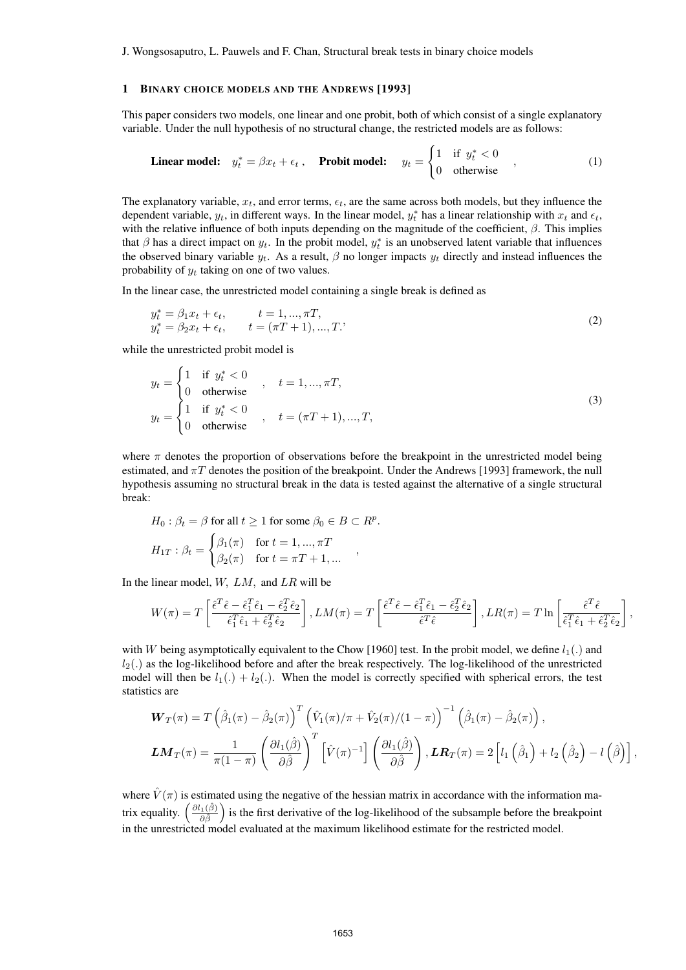J. Wongsosaputro, L. Pauwels and F. Chan, Structural break tests in binary choice models

### 1 BINARY CHOICE MODELS AND THE ANDREWS [1993]

This paper considers two models, one linear and one probit, both of which consist of a single explanatory variable. Under the null hypothesis of no structural change, the restricted models are as follows:

**Linear model:** 
$$
y_t^* = \beta x_t + \epsilon_t
$$
, **Problem model:**  $y_t = \begin{cases} 1 & \text{if } y_t^* < 0 \\ 0 & \text{otherwise} \end{cases}$ , (1)

The explanatory variable,  $x_t$ , and error terms,  $\epsilon_t$ , are the same across both models, but they influence the dependent variable,  $y_t$ , in different ways. In the linear model,  $y_t^*$  has a linear relationship with  $x_t$  and  $\epsilon_t$ , with the relative influence of both inputs depending on the magnitude of the coefficient,  $\beta$ . This implies that  $\beta$  has a direct impact on  $y_t$ . In the probit model,  $y_t^*$  is an unobserved latent variable that influences the observed binary variable  $y_t$ . As a result,  $\beta$  no longer impacts  $y_t$  directly and instead influences the probability of  $y_t$  taking on one of two values.

In the linear case, the unrestricted model containing a single break is defined as

$$
y_t^* = \beta_1 x_t + \epsilon_t, \qquad t = 1, ..., \pi T,y_t^* = \beta_2 x_t + \epsilon_t, \qquad t = (\pi T + 1), ..., T.
$$
\n(2)

while the unrestricted probit model is

$$
y_t = \begin{cases} 1 & \text{if } y_t^* < 0 \\ 0 & \text{otherwise} \end{cases}, \quad t = 1, ..., \pi T,
$$
  

$$
y_t = \begin{cases} 1 & \text{if } y_t^* < 0 \\ 0 & \text{otherwise} \end{cases}, \quad t = (\pi T + 1), ..., T,
$$
 (3)

where  $\pi$  denotes the proportion of observations before the breakpoint in the unrestricted model being estimated, and  $\pi T$  denotes the position of the breakpoint. Under the Andrews [1993] framework, the null hypothesis assuming no structural break in the data is tested against the alternative of a single structural break:

$$
H_0: \beta_t = \beta \text{ for all } t \ge 1 \text{ for some } \beta_0 \in B \subset R^p.
$$
  

$$
H_{1T}: \beta_t = \begin{cases} \beta_1(\pi) & \text{for } t = 1, ..., \pi T \\ \beta_2(\pi) & \text{for } t = \pi T + 1, ... \end{cases}
$$

In the linear model,  $W$ ,  $LM$ , and  $LR$  will be

$$
W(\pi) = T\left[\frac{\hat{\epsilon}^T\hat{\epsilon} - \hat{\epsilon}_1^T\hat{\epsilon}_1 - \hat{\epsilon}_2^T\hat{\epsilon}_2}{\hat{\epsilon}_1^T\hat{\epsilon}_1 + \hat{\epsilon}_2^T\hat{\epsilon}_2}\right], LM(\pi) = T\left[\frac{\hat{\epsilon}^T\hat{\epsilon} - \hat{\epsilon}_1^T\hat{\epsilon}_1 - \hat{\epsilon}_2^T\hat{\epsilon}_2}{\hat{\epsilon}^T\hat{\epsilon}}\right], LR(\pi) = T\ln\left[\frac{\hat{\epsilon}^T\hat{\epsilon}}{\hat{\epsilon}_1^T\hat{\epsilon}_1 + \hat{\epsilon}_2^T\hat{\epsilon}_2}\right],
$$

with W being asymptotically equivalent to the Chow [1960] test. In the probit model, we define  $l_1(.)$  and  $l_2(.)$  as the log-likelihood before and after the break respectively. The log-likelihood of the unrestricted model will then be  $l_1(.) + l_2(.)$ . When the model is correctly specified with spherical errors, the test statistics are

$$
\mathbf{W}_{T}(\pi) = T\left(\hat{\beta}_{1}(\pi) - \hat{\beta}_{2}(\pi)\right)^{T} \left(\hat{V}_{1}(\pi)/\pi + \hat{V}_{2}(\pi)/(1-\pi)\right)^{-1} \left(\hat{\beta}_{1}(\pi) - \hat{\beta}_{2}(\pi)\right),
$$
  

$$
\mathbf{L}\mathbf{M}_{T}(\pi) = \frac{1}{\pi(1-\pi)} \left(\frac{\partial l_{1}(\hat{\beta})}{\partial \hat{\beta}}\right)^{T} \left[\hat{V}(\pi)^{-1}\right] \left(\frac{\partial l_{1}(\hat{\beta})}{\partial \hat{\beta}}\right), \mathbf{L}\mathbf{R}_{T}(\pi) = 2 \left[l_{1}\left(\hat{\beta}_{1}\right) + l_{2}\left(\hat{\beta}_{2}\right) - l\left(\hat{\beta}\right)\right],
$$

where  $\hat{V}(\pi)$  is estimated using the negative of the hessian matrix in accordance with the information matrix equality.  $\left(\frac{\partial l_1(\hat{\beta})}{\partial \hat{\beta}}\right)$  $\overline{\partial\hat{\beta}}$ ) is the first derivative of the log-likelihood of the subsample before the breakpoint in the unrestricted model evaluated at the maximum likelihood estimate for the restricted model.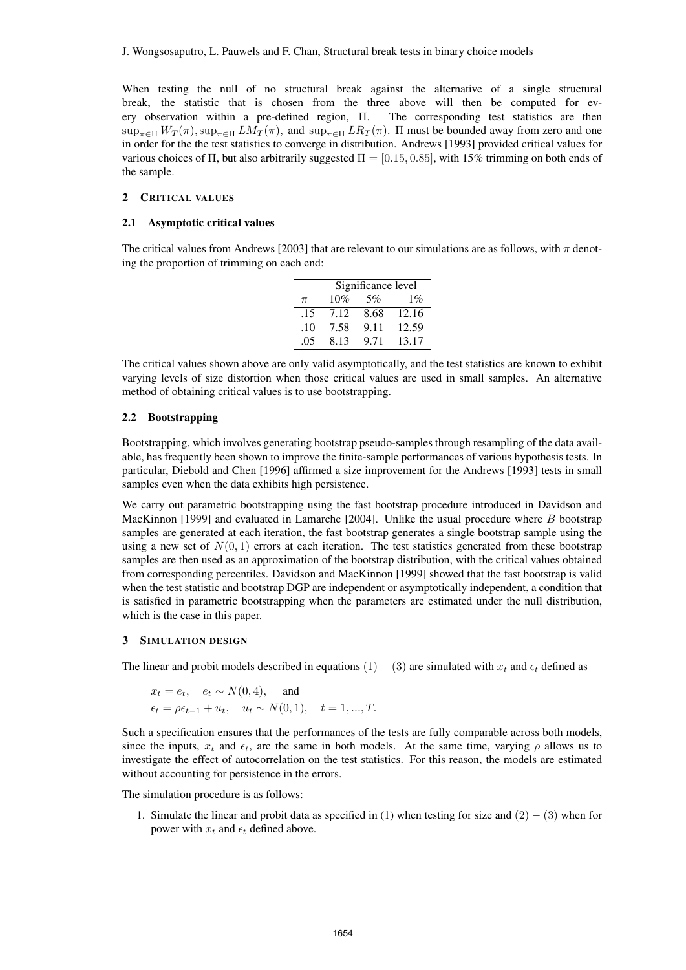When testing the null of no structural break against the alternative of a single structural break, the statistic that is chosen from the three above will then be computed for every observation within a pre-defined region, Π. The corresponding test statistics are then  $\sup_{\pi \in \Pi} W_T(\pi)$ ,  $\sup_{\pi \in \Pi} LM_T(\pi)$ , and  $\sup_{\pi \in \Pi} LR_T(\pi)$ . If must be bounded away from zero and one in order for the the test statistics to converge in distribution. Andrews [1993] provided critical values for various choices of Π, but also arbitrarily suggested  $\Pi = [0.15, 0.85]$ , with 15% trimming on both ends of the sample.

#### 2 CRITICAL VALUES

#### 2.1 Asymptotic critical values

The critical values from Andrews [2003] that are relevant to our simulations are as follows, with  $\pi$  denoting the proportion of trimming on each end:

|       | Significance level |      |       |
|-------|--------------------|------|-------|
| $\pi$ | 10%                | 5%   | $1\%$ |
| .15   | 7.12               | 8.68 | 12.16 |
| .10   | 7.58               | 9.11 | 12.59 |
| .05   | 8.13               | 9.71 | 13.17 |

The critical values shown above are only valid asymptotically, and the test statistics are known to exhibit varying levels of size distortion when those critical values are used in small samples. An alternative method of obtaining critical values is to use bootstrapping.

#### 2.2 Bootstrapping

Bootstrapping, which involves generating bootstrap pseudo-samples through resampling of the data available, has frequently been shown to improve the finite-sample performances of various hypothesis tests. In particular, Diebold and Chen [1996] affirmed a size improvement for the Andrews [1993] tests in small samples even when the data exhibits high persistence.

We carry out parametric bootstrapping using the fast bootstrap procedure introduced in Davidson and MacKinnon [1999] and evaluated in Lamarche [2004]. Unlike the usual procedure where B bootstrap samples are generated at each iteration, the fast bootstrap generates a single bootstrap sample using the using a new set of  $N(0, 1)$  errors at each iteration. The test statistics generated from these bootstrap samples are then used as an approximation of the bootstrap distribution, with the critical values obtained from corresponding percentiles. Davidson and MacKinnon [1999] showed that the fast bootstrap is valid when the test statistic and bootstrap DGP are independent or asymptotically independent, a condition that is satisfied in parametric bootstrapping when the parameters are estimated under the null distribution, which is the case in this paper.

#### 3 SIMULATION DESIGN

The linear and probit models described in equations (1) – (3) are simulated with  $x_t$  and  $\epsilon_t$  defined as

$$
x_t = e_t
$$
,  $e_t \sim N(0, 4)$ , and  
\n $\epsilon_t = \rho \epsilon_{t-1} + u_t$ ,  $u_t \sim N(0, 1)$ ,  $t = 1, ..., T$ .

Such a specification ensures that the performances of the tests are fully comparable across both models, since the inputs,  $x_t$  and  $\epsilon_t$ , are the same in both models. At the same time, varying  $\rho$  allows us to investigate the effect of autocorrelation on the test statistics. For this reason, the models are estimated without accounting for persistence in the errors.

The simulation procedure is as follows:

1. Simulate the linear and probit data as specified in (1) when testing for size and  $(2) - (3)$  when for power with  $x_t$  and  $\epsilon_t$  defined above.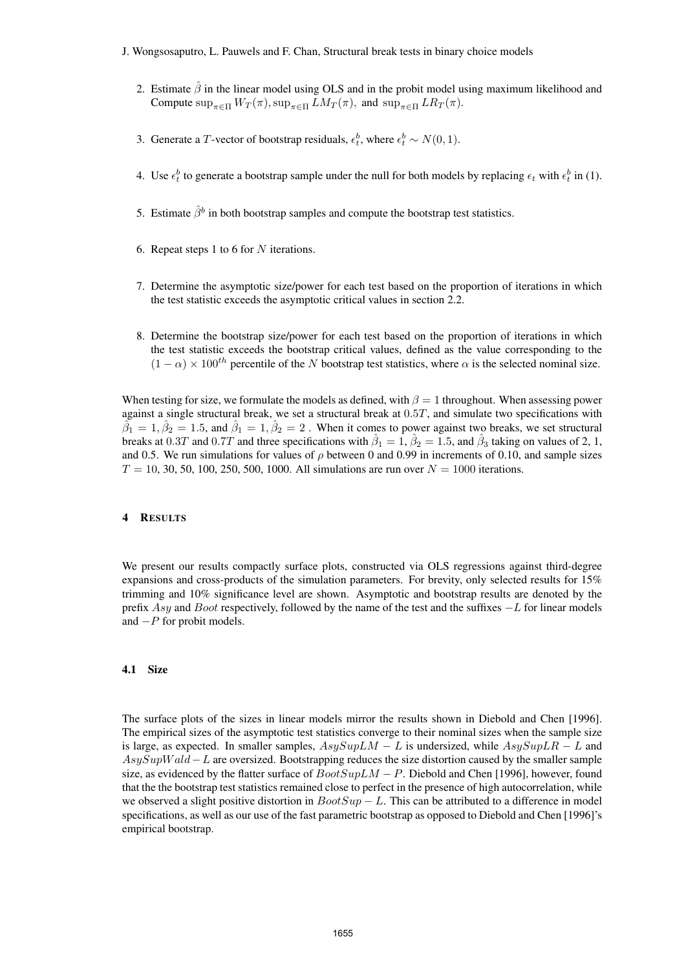- J. Wongsosaputro, L. Pauwels and F. Chan, Structural break tests in binary choice models
	- 2. Estimate  $\hat{\beta}$  in the linear model using OLS and in the probit model using maximum likelihood and Compute  $\sup_{\pi \in \Pi} W_T(\pi), \sup_{\pi \in \Pi} LM_T(\pi)$ , and  $\sup_{\pi \in \Pi} LR_T(\pi)$ .
	- 3. Generate a T-vector of bootstrap residuals,  $\epsilon_t^b$ , where  $\epsilon_t^b \sim N(0, 1)$ .
	- 4. Use  $\epsilon_t^b$  to generate a bootstrap sample under the null for both models by replacing  $\epsilon_t$  with  $\epsilon_t^b$  in (1).
	- 5. Estimate  $\hat{\beta}^b$  in both bootstrap samples and compute the bootstrap test statistics.
	- 6. Repeat steps 1 to 6 for N iterations.
	- 7. Determine the asymptotic size/power for each test based on the proportion of iterations in which the test statistic exceeds the asymptotic critical values in section 2.2.
	- 8. Determine the bootstrap size/power for each test based on the proportion of iterations in which the test statistic exceeds the bootstrap critical values, defined as the value corresponding to the  $(1 - \alpha) \times 100^{th}$  percentile of the N bootstrap test statistics, where  $\alpha$  is the selected nominal size.

When testing for size, we formulate the models as defined, with  $\beta = 1$  throughout. When assessing power against a single structural break, we set a structural break at 0.5T, and simulate two specifications with  $\hat{\beta}_1 = 1, \hat{\beta}_2 = 1.5$ , and  $\hat{\beta}_1 = 1, \hat{\beta}_2 = 2$ . When it comes to power against two breaks, we set structural breaks at 0.3T and 0.7T and three specifications with  $\hat{\beta}_1 = 1$ ,  $\hat{\beta}_2 = 1.5$ , and  $\hat{\beta}_3$  taking on values of 2, 1, and 0.5. We run simulations for values of  $\rho$  between 0 and 0.99 in increments of 0.10, and sample sizes  $T = 10, 30, 50, 100, 250, 500, 1000$ . All simulations are run over  $N = 1000$  iterations.

#### 4 RESULTS

We present our results compactly surface plots, constructed via OLS regressions against third-degree expansions and cross-products of the simulation parameters. For brevity, only selected results for 15% trimming and 10% significance level are shown. Asymptotic and bootstrap results are denoted by the prefix Asy and Boot respectively, followed by the name of the test and the suffixes −L for linear models and  $-P$  for probit models.

#### 4.1 Size

The surface plots of the sizes in linear models mirror the results shown in Diebold and Chen [1996]. The empirical sizes of the asymptotic test statistics converge to their nominal sizes when the sample size is large, as expected. In smaller samples,  $AsySupLM - L$  is undersized, while  $AsySupLR - L$  and  $AsySupWald-L$  are oversized. Bootstrapping reduces the size distortion caused by the smaller sample size, as evidenced by the flatter surface of  $BootSupLM - P$ . Diebold and Chen [1996], however, found that the the bootstrap test statistics remained close to perfect in the presence of high autocorrelation, while we observed a slight positive distortion in  $BootSup - L$ . This can be attributed to a difference in model specifications, as well as our use of the fast parametric bootstrap as opposed to Diebold and Chen [1996]'s empirical bootstrap.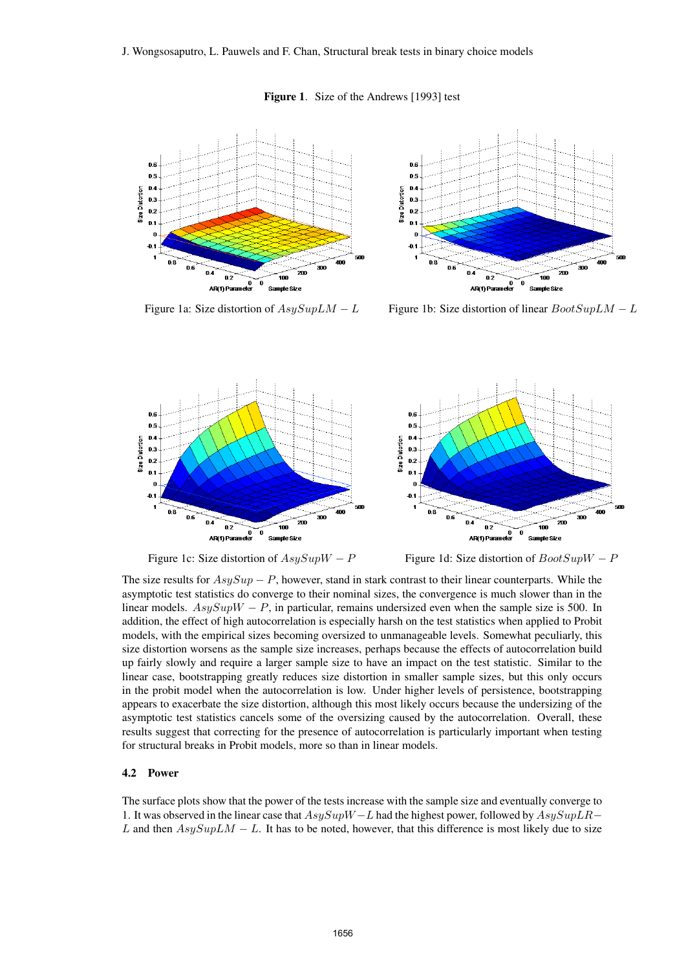#### J. Wongsosaputro, L. Pauwels and F. Chan, Structural break tests in binary choice models



Figure 1. Size of the Andrews [1993] test



Figure 1a: Size distortion of  $AsySupLM - L$  Figure 1b: Size distortion of linear  $BookSupLM - L$ 



Figure 1c: Size distortion of  $AsySupW - P$  Figure 1d: Size distortion of  $BookSupW - P$ 

The size results for  $AsySup - P$ , however, stand in stark contrast to their linear counterparts. While the asymptotic test statistics do converge to their nominal sizes, the convergence is much slower than in the linear models.  $AsySupW - P$ , in particular, remains undersized even when the sample size is 500. In addition, the effect of high autocorrelation is especially harsh on the test statistics when applied to Probit models, with the empirical sizes becoming oversized to unmanageable levels. Somewhat peculiarly, this size distortion worsens as the sample size increases, perhaps because the effects of autocorrelation build up fairly slowly and require a larger sample size to have an impact on the test statistic. Similar to the linear case, bootstrapping greatly reduces size distortion in smaller sample sizes, but this only occurs in the probit model when the autocorrelation is low. Under higher levels of persistence, bootstrapping appears to exacerbate the size distortion, although this most likely occurs because the undersizing of the asymptotic test statistics cancels some of the oversizing caused by the autocorrelation. Overall, these results suggest that correcting for the presence of autocorrelation is particularly important when testing for structural breaks in Probit models, more so than in linear models.

# 4.2 Power

The surface plots show that the power of the tests increase with the sample size and eventually converge to 1. It was observed in the linear case that  $AsySupW - L$  had the highest power, followed by  $AsySupLR−$ L and then  $AsySupLM - L$ . It has to be noted, however, that this difference is most likely due to size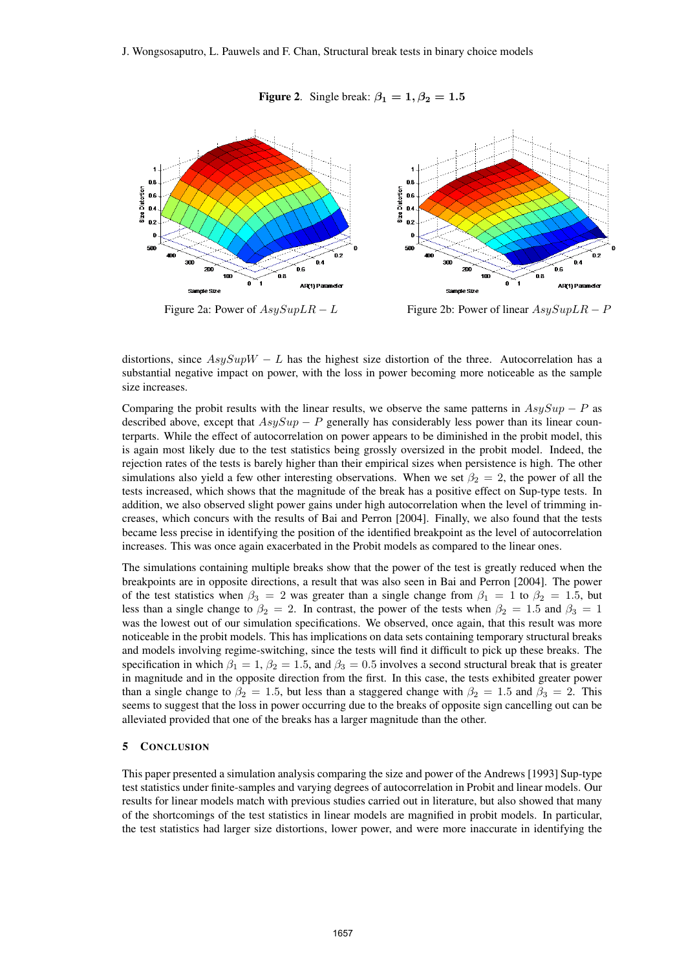# Figure 2. Single break:  $\beta_1 = 1, \beta_2 = 1.5$



distortions, since  $AsySupW - L$  has the highest size distortion of the three. Autocorrelation has a substantial negative impact on power, with the loss in power becoming more noticeable as the sample size increases.

Comparing the probit results with the linear results, we observe the same patterns in  $AsySup - P$  as described above, except that  $AsySup - P$  generally has considerably less power than its linear counterparts. While the effect of autocorrelation on power appears to be diminished in the probit model, this is again most likely due to the test statistics being grossly oversized in the probit model. Indeed, the rejection rates of the tests is barely higher than their empirical sizes when persistence is high. The other simulations also yield a few other interesting observations. When we set  $\beta_2 = 2$ , the power of all the tests increased, which shows that the magnitude of the break has a positive effect on Sup-type tests. In addition, we also observed slight power gains under high autocorrelation when the level of trimming increases, which concurs with the results of Bai and Perron [2004]. Finally, we also found that the tests became less precise in identifying the position of the identified breakpoint as the level of autocorrelation increases. This was once again exacerbated in the Probit models as compared to the linear ones.

The simulations containing multiple breaks show that the power of the test is greatly reduced when the breakpoints are in opposite directions, a result that was also seen in Bai and Perron [2004]. The power of the test statistics when  $\beta_3 = 2$  was greater than a single change from  $\beta_1 = 1$  to  $\beta_2 = 1.5$ , but less than a single change to  $\beta_2 = 2$ . In contrast, the power of the tests when  $\beta_2 = 1.5$  and  $\beta_3 = 1$ was the lowest out of our simulation specifications. We observed, once again, that this result was more noticeable in the probit models. This has implications on data sets containing temporary structural breaks and models involving regime-switching, since the tests will find it difficult to pick up these breaks. The specification in which  $\beta_1 = 1$ ,  $\beta_2 = 1.5$ , and  $\beta_3 = 0.5$  involves a second structural break that is greater in magnitude and in the opposite direction from the first. In this case, the tests exhibited greater power than a single change to  $\beta_2 = 1.5$ , but less than a staggered change with  $\beta_2 = 1.5$  and  $\beta_3 = 2$ . This seems to suggest that the loss in power occurring due to the breaks of opposite sign cancelling out can be alleviated provided that one of the breaks has a larger magnitude than the other.

#### 5 CONCLUSION

This paper presented a simulation analysis comparing the size and power of the Andrews [1993] Sup-type test statistics under finite-samples and varying degrees of autocorrelation in Probit and linear models. Our results for linear models match with previous studies carried out in literature, but also showed that many of the shortcomings of the test statistics in linear models are magnified in probit models. In particular, the test statistics had larger size distortions, lower power, and were more inaccurate in identifying the